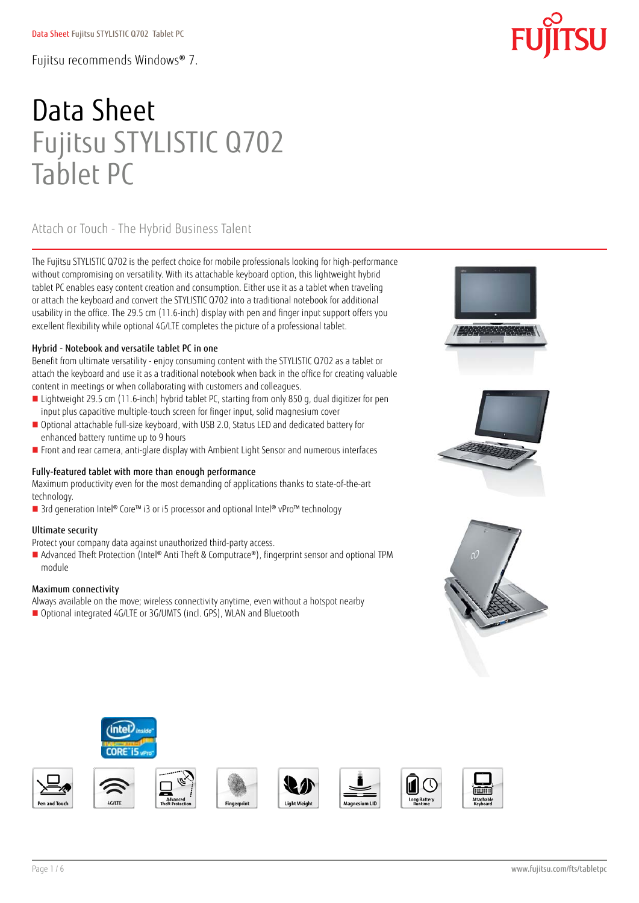# Data Sheet Fujitsu STYLISTIC Q702 Tablet PC

### Attach or Touch - The Hybrid Business Talent

The Fujitsu STYLISTIC Q702 is the perfect choice for mobile professionals looking for high-performance without compromising on versatility. With its attachable keyboard option, this lightweight hybrid tablet PC enables easy content creation and consumption. Either use it as a tablet when traveling or attach the keyboard and convert the STYLISTIC Q702 into a traditional notebook for additional usability in the office. The 29.5 cm (11.6-inch) display with pen and finger input support offers you excellent flexibility while optional 4G/LTE completes the picture of a professional tablet.

#### Hybrid - Notebook and versatile tablet PC in one

Benefit from ultimate versatility - enjoy consuming content with the STYLISTIC Q702 as a tablet or attach the keyboard and use it as a traditional notebook when back in the office for creating valuable content in meetings or when collaborating with customers and colleagues.

- Lightweight 29.5 cm (11.6-inch) hybrid tablet PC, starting from only 850 g, dual digitizer for pen input plus capacitive multiple-touch screen for finger input, solid magnesium cover
- Optional attachable full-size keyboard, with USB 2.0, Status LED and dedicated battery for enhanced battery runtime up to 9 hours
- **Front and rear camera, anti-glare display with Ambient Light Sensor and numerous interfaces**

#### Fully-featured tablet with more than enough performance

Maximum productivity even for the most demanding of applications thanks to state-of-the-art technology.

■ 3rd generation Intel® Core™ i3 or i5 processor and optional Intel® vPro™ technology

#### Ultimate security

Protect your company data against unauthorized third-party access.

■ Advanced Theft Protection (Intel® Anti Theft & Computrace®), fingerprint sensor and optional TPM module

#### Maximum connectivity

Always available on the move; wireless connectivity anytime, even without a hotspot nearby

■ Optional integrated 4G/LTE or 3G/UMTS (incl. GPS), WLAN and Bluetooth



















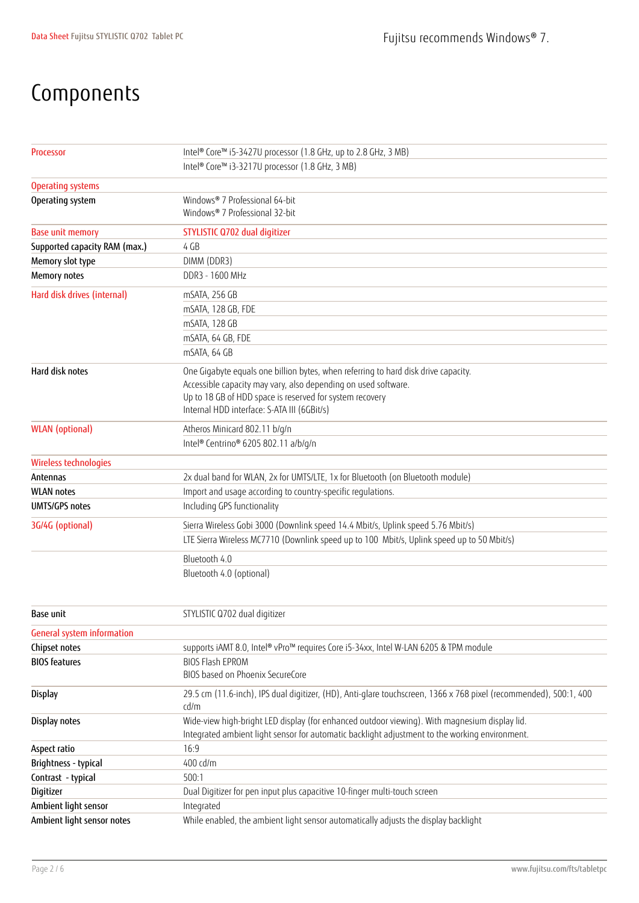### Components

| Processor                         | Intel® Core™ i5-3427U processor (1.8 GHz, up to 2.8 GHz, 3 MB)                                                    |
|-----------------------------------|-------------------------------------------------------------------------------------------------------------------|
|                                   | Intel® Core™ i3-3217U processor (1.8 GHz, 3 MB)                                                                   |
| <b>Operating systems</b>          |                                                                                                                   |
| Operating system                  | Windows® 7 Professional 64-bit                                                                                    |
|                                   | Windows® 7 Professional 32-bit                                                                                    |
| <b>Base unit memory</b>           | STYLISTIC Q702 dual digitizer                                                                                     |
| Supported capacity RAM (max.)     | 4 GB                                                                                                              |
| Memory slot type                  | DIMM (DDR3)                                                                                                       |
| <b>Memory notes</b>               | DDR3 - 1600 MHz                                                                                                   |
| Hard disk drives (internal)       | mSATA, 256 GB                                                                                                     |
|                                   | mSATA, 128 GB, FDE                                                                                                |
|                                   | mSATA, 128 GB                                                                                                     |
|                                   | mSATA, 64 GB, FDE                                                                                                 |
|                                   | mSATA, 64 GB                                                                                                      |
| Hard disk notes                   | One Gigabyte equals one billion bytes, when referring to hard disk drive capacity.                                |
|                                   | Accessible capacity may vary, also depending on used software.                                                    |
|                                   | Up to 18 GB of HDD space is reserved for system recovery                                                          |
|                                   | Internal HDD interface: S-ATA III (6GBit/s)                                                                       |
| <b>WLAN</b> (optional)            | Atheros Minicard 802.11 b/g/n                                                                                     |
|                                   | Intel® Centrino® 6205 802.11 a/b/q/n                                                                              |
| Wireless technologies             |                                                                                                                   |
| Antennas                          | 2x dual band for WLAN, 2x for UMTS/LTE, 1x for Bluetooth (on Bluetooth module)                                    |
| <b>WLAN</b> notes                 | Import and usage according to country-specific regulations.                                                       |
| <b>UMTS/GPS notes</b>             | Including GPS functionality                                                                                       |
| 3G/4G (optional)                  | Sierra Wireless Gobi 3000 (Downlink speed 14.4 Mbit/s, Uplink speed 5.76 Mbit/s)                                  |
|                                   | LTE Sierra Wireless MC7710 (Downlink speed up to 100 Mbit/s, Uplink speed up to 50 Mbit/s)                        |
|                                   | Bluetooth 4.0                                                                                                     |
|                                   | Bluetooth 4.0 (optional)                                                                                          |
|                                   |                                                                                                                   |
|                                   |                                                                                                                   |
| Base unit                         | STYLISTIC Q702 dual digitizer                                                                                     |
| <b>General system information</b> |                                                                                                                   |
| Chipset notes                     | supports iAMT 8.0, Intel® vPro™ requires Core i5-34xx, Intel W-LAN 6205 & TPM module                              |
| <b>BIOS features</b>              | <b>BIOS Flash EPROM</b>                                                                                           |
|                                   | BIOS based on Phoenix SecureCore                                                                                  |
| <b>Display</b>                    | 29.5 cm (11.6-inch), IPS dual digitizer, (HD), Anti-glare touchscreen, 1366 x 768 pixel (recommended), 500:1, 400 |
|                                   | cd/m                                                                                                              |
| Display notes                     | Wide-view high-bright LED display (for enhanced outdoor viewing). With magnesium display lid.                     |
|                                   | Integrated ambient light sensor for automatic backlight adjustment to the working environment.                    |
| Aspect ratio                      | 16:9                                                                                                              |
| Brightness - typical              | 400 cd/m                                                                                                          |
| Contrast - typical                | 500:1                                                                                                             |
| Digitizer                         | Dual Digitizer for pen input plus capacitive 10-finger multi-touch screen                                         |
| Ambient light sensor              | Integrated                                                                                                        |
| Ambient light sensor notes        | While enabled, the ambient light sensor automatically adjusts the display backlight                               |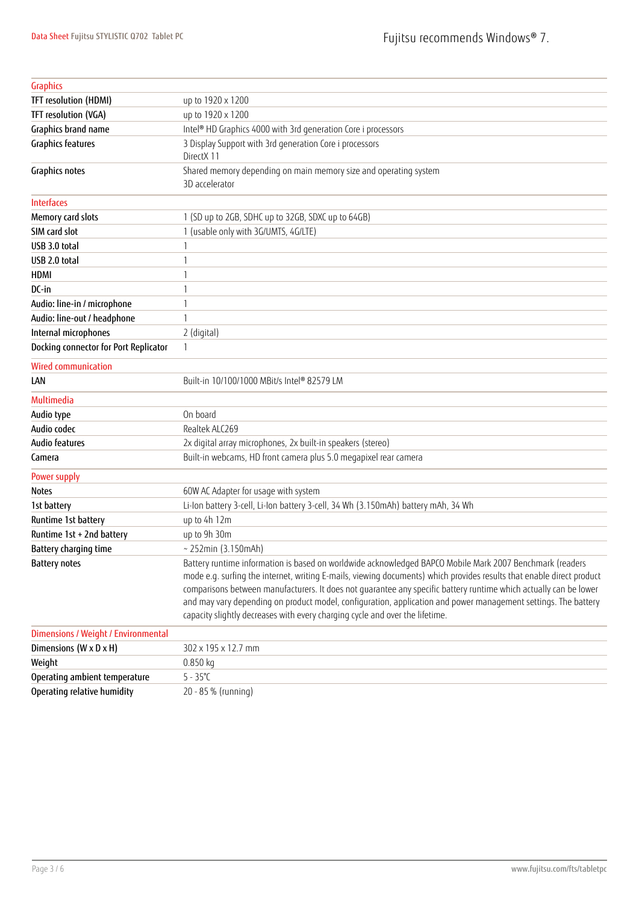| <b>Graphics</b>                       |                                                                                                                       |
|---------------------------------------|-----------------------------------------------------------------------------------------------------------------------|
| TFT resolution (HDMI)                 | up to 1920 x 1200                                                                                                     |
| TFT resolution (VGA)                  | up to 1920 x 1200                                                                                                     |
| Graphics brand name                   | Intel® HD Graphics 4000 with 3rd generation Core i processors                                                         |
| <b>Graphics features</b>              | 3 Display Support with 3rd generation Core i processors<br>DirectX 11                                                 |
| Graphics notes                        | Shared memory depending on main memory size and operating system<br>3D accelerator                                    |
| <b>Interfaces</b>                     |                                                                                                                       |
| Memory card slots                     | 1 (SD up to 2GB, SDHC up to 32GB, SDXC up to 64GB)                                                                    |
| SIM card slot                         | 1 (usable only with 3G/UMTS, 4G/LTE)                                                                                  |
| USB 3.0 total                         |                                                                                                                       |
| USB 2.0 total                         | 1                                                                                                                     |
| HDMI                                  |                                                                                                                       |
| DC-in                                 | 1                                                                                                                     |
| Audio: line-in / microphone           | 1                                                                                                                     |
| Audio: line-out / headphone           | 1                                                                                                                     |
| Internal microphones                  | 2 (digital)                                                                                                           |
| Docking connector for Port Replicator | $\mathbf{1}$                                                                                                          |
| <b>Wired communication</b>            |                                                                                                                       |
| LAN                                   | Built-in 10/100/1000 MBit/s Intel® 82579 LM                                                                           |
| Multimedia                            |                                                                                                                       |
| Audio type                            | On board                                                                                                              |
| Audio codec                           | Realtek ALC269                                                                                                        |
| Audio features                        | 2x digital array microphones, 2x built-in speakers (stereo)                                                           |
| Camera                                | Built-in webcams, HD front camera plus 5.0 megapixel rear camera                                                      |
| Power supply                          |                                                                                                                       |
| Notes                                 | 60W AC Adapter for usage with system                                                                                  |
| 1st battery                           | Li-Ion battery 3-cell, Li-Ion battery 3-cell, 34 Wh (3.150mAh) battery mAh, 34 Wh                                     |
| Runtime 1st battery                   | up to 4h 12m                                                                                                          |
| Runtime 1st + 2nd battery             | up to 9h 30m                                                                                                          |
| Battery charging time                 | ~ $252min(3.150mAh)$                                                                                                  |
| <b>Battery notes</b>                  | Battery runtime information is based on worldwide acknowledged BAPCO Mobile Mark 2007 Benchmark (readers              |
|                                       | mode e.g. surfing the internet, writing E-mails, viewing documents) which provides results that enable direct product |
|                                       | comparisons between manufacturers. It does not quarantee any specific battery runtime which actually can be lower     |
|                                       | and may vary depending on product model, configuration, application and power management settings. The battery        |
|                                       | capacity slightly decreases with every charging cycle and over the lifetime.                                          |
| Dimensions / Weight / Environmental   |                                                                                                                       |
| Dimensions (W x D x H)                | 302 x 195 x 12.7 mm                                                                                                   |
| Weight                                | 0.850 kg                                                                                                              |
| Operating ambient temperature         | $5 - 35^{\circ}C$                                                                                                     |
| Operating relative humidity           | 20 - 85 % (running)                                                                                                   |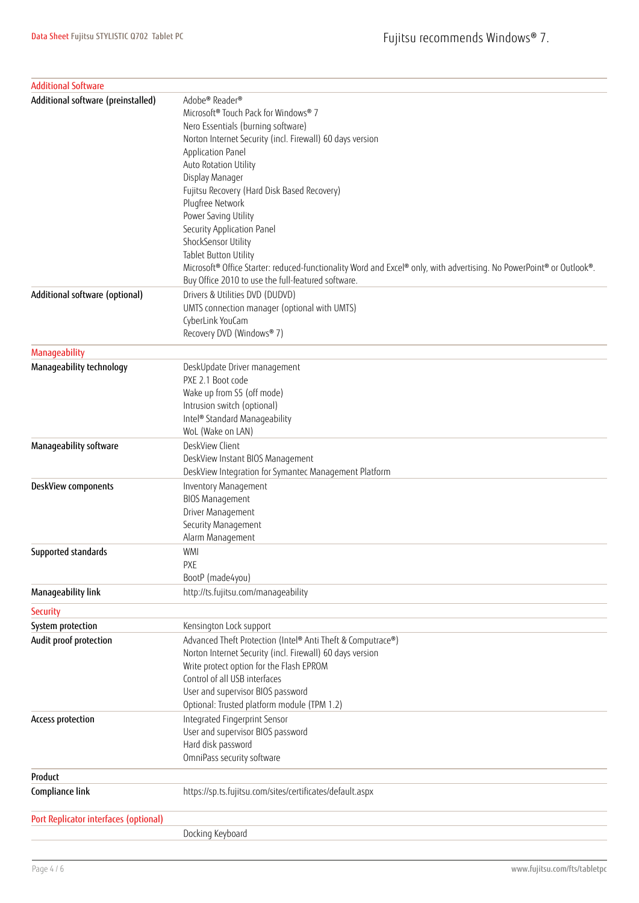| <b>Additional Software</b>            |                                                                                                                                                                                                                                                                                                                       |
|---------------------------------------|-----------------------------------------------------------------------------------------------------------------------------------------------------------------------------------------------------------------------------------------------------------------------------------------------------------------------|
| Additional software (preinstalled)    | Adobe® Reader®<br>Microsoft® Touch Pack for Windows® 7<br>Nero Essentials (burning software)<br>Norton Internet Security (incl. Firewall) 60 days version<br>Application Panel<br>Auto Rotation Utility<br>Display Manager<br>Fujitsu Recovery (Hard Disk Based Recovery)<br>Plugfree Network<br>Power Saving Utility |
|                                       | Security Application Panel<br>ShockSensor Utility<br>Tablet Button Utility<br>Microsoft® Office Starter: reduced-functionality Word and Excel® only, with advertising. No PowerPoint® or Outlook®.<br>Buy Office 2010 to use the full-featured software.                                                              |
| Additional software (optional)        | Drivers & Utilities DVD (DUDVD)<br>UMTS connection manager (optional with UMTS)<br>CyberLink YouCam<br>Recovery DVD (Windows® 7)                                                                                                                                                                                      |
| <b>Manageability</b>                  |                                                                                                                                                                                                                                                                                                                       |
| Manageability technology              | DeskUpdate Driver management<br>PXE 2.1 Boot code<br>Wake up from S5 (off mode)<br>Intrusion switch (optional)<br>Intel® Standard Manageability<br>WoL (Wake on LAN)                                                                                                                                                  |
| Manageability software                | DeskView Client<br>DeskView Instant BIOS Management<br>DeskView Integration for Symantec Management Platform                                                                                                                                                                                                          |
| DeskView components                   | Inventory Management<br><b>BIOS Management</b><br>Driver Management<br>Security Management<br>Alarm Management                                                                                                                                                                                                        |
| Supported standards                   | WMI<br>PXE<br>BootP (made4you)                                                                                                                                                                                                                                                                                        |
| Manageability link                    | http://ts.fujitsu.com/manageability                                                                                                                                                                                                                                                                                   |
| <b>Security</b>                       |                                                                                                                                                                                                                                                                                                                       |
| System protection                     | Kensington Lock support                                                                                                                                                                                                                                                                                               |
| Audit proof protection                | Advanced Theft Protection (Intel® Anti Theft & Computrace®)<br>Norton Internet Security (incl. Firewall) 60 days version<br>Write protect option for the Flash EPROM<br>Control of all USB interfaces<br>User and supervisor BIOS password<br>Optional: Trusted platform module (TPM 1.2)                             |
| Access protection                     | Integrated Fingerprint Sensor<br>User and supervisor BIOS password<br>Hard disk password<br>OmniPass security software                                                                                                                                                                                                |
| Product                               |                                                                                                                                                                                                                                                                                                                       |
| Compliance link                       | https://sp.ts.fujitsu.com/sites/certificates/default.aspx                                                                                                                                                                                                                                                             |
| Port Replicator interfaces (optional) | Docking Keyboard                                                                                                                                                                                                                                                                                                      |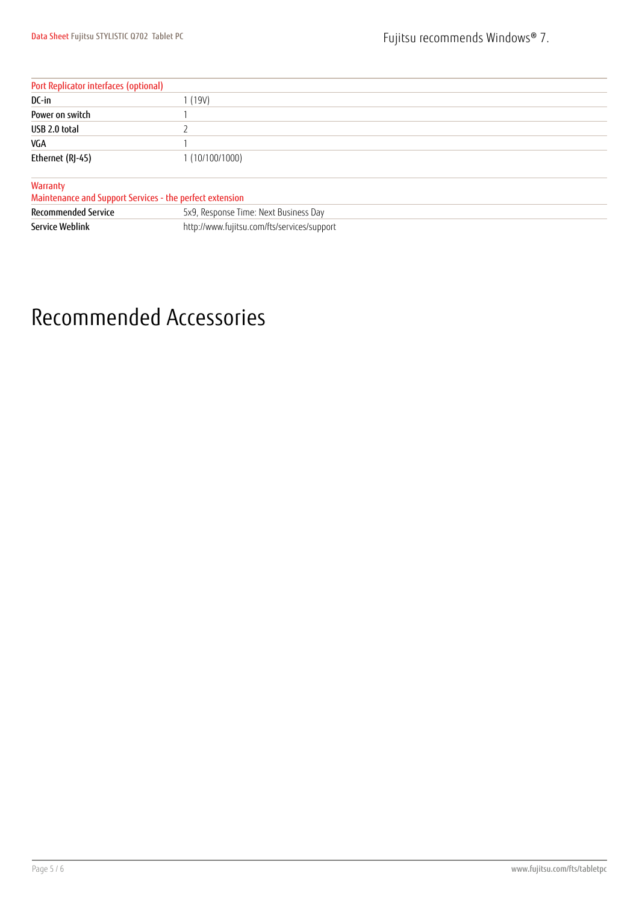| Port Replicator interfaces (optional)                                |                                             |
|----------------------------------------------------------------------|---------------------------------------------|
| DC-in                                                                | (19V)                                       |
| Power on switch                                                      |                                             |
| USB 2.0 total                                                        |                                             |
| VGA                                                                  |                                             |
| Ethernet (RJ-45)                                                     | 1 (10/100/1000)                             |
| Warranty<br>Maintenance and Support Services - the perfect extension |                                             |
| <b>Recommended Service</b>                                           | 5x9, Response Time: Next Business Day       |
| Service Weblink                                                      | http://www.fujitsu.com/fts/services/support |

## Recommended Accessories